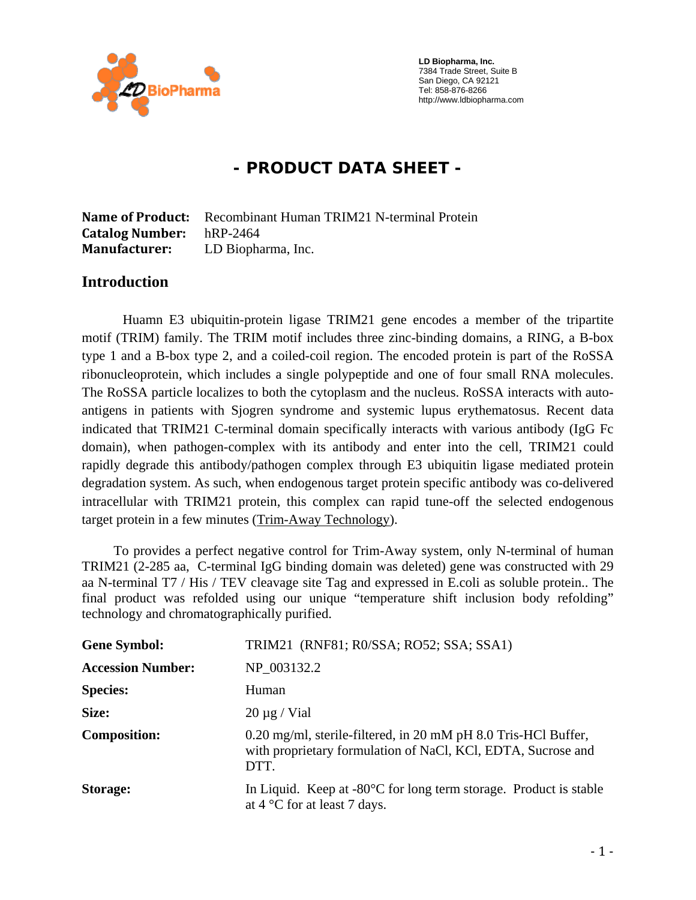

 **LD Biopharma, Inc.**  7384 Trade Street, Suite B San Diego, CA 92121 Tel: 858-876-8266 http://www.ldbiopharma.com

# **- PRODUCT DATA SHEET -**

**Name of Product:** Recombinant Human TRIM21 N-terminal Protein **Catalog Number:** hRP-2464 **Manufacturer:** LD Biopharma, Inc.

#### **Introduction**

Huamn E3 ubiquitin-protein ligase TRIM21 gene encodes a member of the tripartite motif (TRIM) family. The TRIM motif includes three zinc-binding domains, a RING, a B-box type 1 and a B-box type 2, and a coiled-coil region. The encoded protein is part of the RoSSA ribonucleoprotein, which includes a single polypeptide and one of four small RNA molecules. The RoSSA particle localizes to both the cytoplasm and the nucleus. RoSSA interacts with autoantigens in patients with Sjogren syndrome and systemic lupus erythematosus. Recent data indicated that TRIM21 C-terminal domain specifically interacts with various antibody (IgG Fc domain), when pathogen-complex with its antibody and enter into the cell, TRIM21 could rapidly degrade this antibody/pathogen complex through E3 ubiquitin ligase mediated protein degradation system. As such, when endogenous target protein specific antibody was co-delivered intracellular with TRIM21 protein, this complex can rapid tune-off the selected endogenous target protein in a few minutes (Trim-Away Technology).

 To provides a perfect negative control for Trim-Away system, only N-terminal of human TRIM21 (2-285 aa, C-terminal IgG binding domain was deleted) gene was constructed with 29 aa N-terminal T7 / His / TEV cleavage site Tag and expressed in E.coli as soluble protein.. The final product was refolded using our unique "temperature shift inclusion body refolding" technology and chromatographically purified.

| <b>Gene Symbol:</b>      | TRIM21 (RNF81; R0/SSA; RO52; SSA; SSA1)                                                                                                |
|--------------------------|----------------------------------------------------------------------------------------------------------------------------------------|
| <b>Accession Number:</b> | NP 003132.2                                                                                                                            |
| <b>Species:</b>          | Human                                                                                                                                  |
| Size:                    | $20 \mu g$ / Vial                                                                                                                      |
| <b>Composition:</b>      | 0.20 mg/ml, sterile-filtered, in 20 mM pH 8.0 Tris-HCl Buffer,<br>with proprietary formulation of NaCl, KCl, EDTA, Sucrose and<br>DTT. |
| Storage:                 | In Liquid. Keep at $-80^{\circ}$ C for long term storage. Product is stable<br>at $4^{\circ}$ C for at least 7 days.                   |